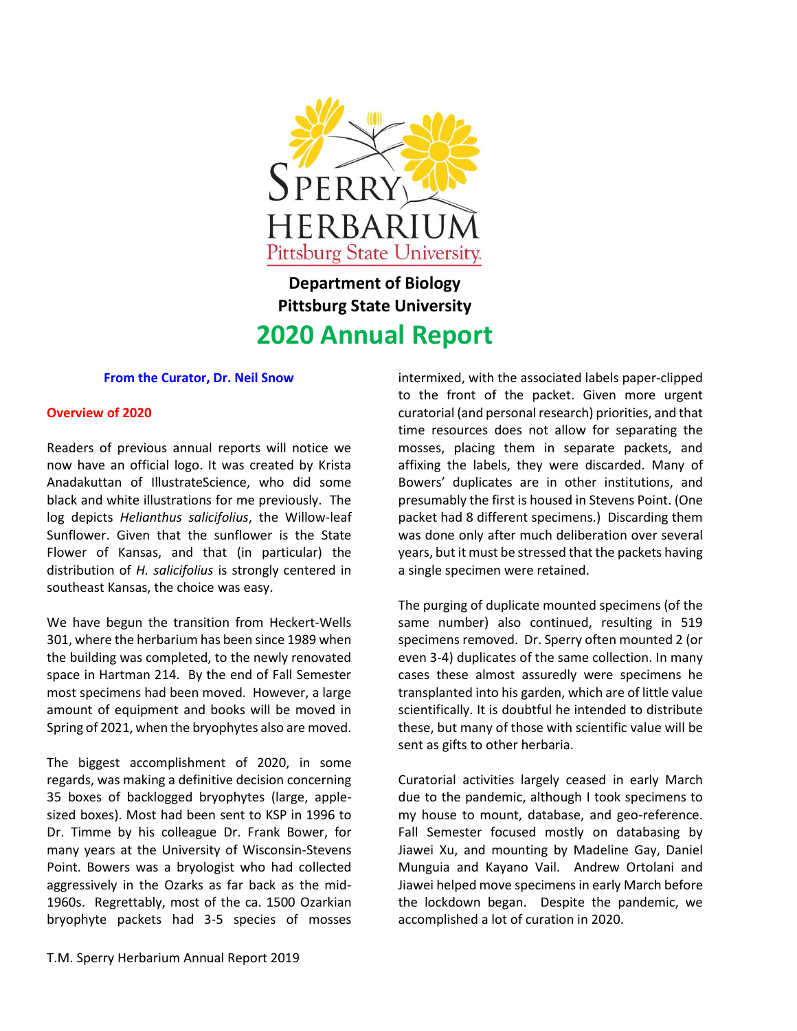

# **Department of Biology Pittsburg State University 2020 Annual Report**

### **From the Curator, Dr. Neil Snow**

#### **Overview of 2020**

Readers of previous annual reports will notice we now have an official logo. It was created by Krista Anadakuttan of IllustrateScience, who did some black and white illustrations for me previously. The log depicts *Helianthus salicifolius*, the Willow-leaf Sunflower. Given that the sunflower is the State Flower of Kansas, and that (in particular) the distribution of *H. salicifolius* is strongly centered in southeast Kansas, the choice was easy.

We have begun the transition from Heckert-Wells 301, where the herbarium has been since 1989 when the building was completed, to the newly renovated space in Hartman 214. By the end of Fall Semester most specimens had been moved. However, a large amount of equipment and books will be moved in Spring of 2021, when the bryophytes also are moved.

The biggest accomplishment of 2020, in some regards, was making a definitive decision concerning 35 boxes of backlogged bryophytes (large, applesized boxes). Most had been sent to KSP in 1996 to Dr. Timme by his colleague Dr. Frank Bower, for many years at the University of Wisconsin-Stevens Point. Bowers was a bryologist who had collected aggressively in the Ozarks as far back as the mid-1960s. Regrettably, most of the ca. 1500 Ozarkian bryophyte packets had 3-5 species of mosses to the front of the packet. Given more urgent curatorial (and personal research) priorities, and that time resources does not allow for separating the mosses, placing them in separate packets, and affixing the labels, they were discarded. Many of Bowers' duplicates are in other institutions, and presumably the first is housed in Stevens Point. (One packet had 8 different specimens.) Discarding them was done only after much deliberation over several years, but it must be stressed that the packets having a single specimen were retained.

intermixed, with the associated labels paper-clipped

The purging of duplicate mounted specimens (of the same number) also continued, resulting in 519 specimens removed. Dr. Sperry often mounted 2 (or even 3-4) duplicates of the same collection. In many cases these almost assuredly were specimens he transplanted into his garden, which are of little value scientifically. It is doubtful he intended to distribute these, but many of those with scientific value will be sent as gifts to other herbaria.

Curatorial activities largely ceased in early March due to the pandemic, although I took specimens to my house to mount, database, and geo-reference. Fall Semester focused mostly on databasing by Jiawei Xu, and mounting by Madeline Gay, Daniel Munguia and Kayano Vail. Andrew Ortolani and Jiawei helped move specimens in early March before the lockdown began. Despite the pandemic, we accomplished a lot of curation in 2020.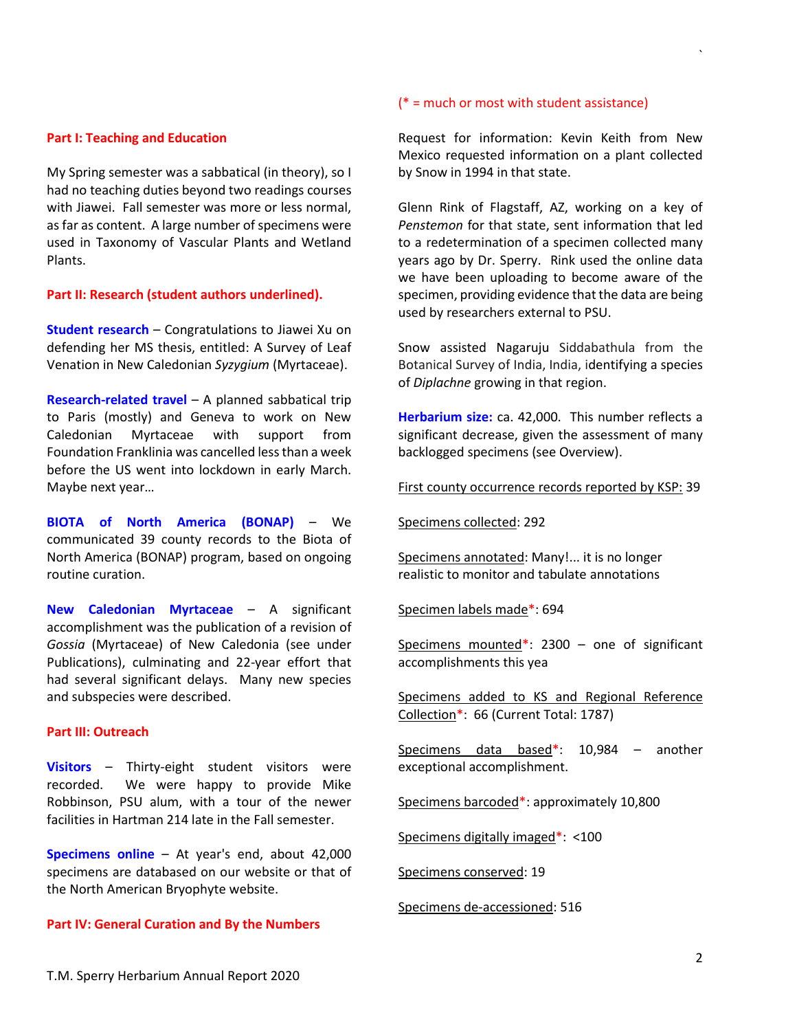#### **Part I: Teaching and Education**

My Spring semester was a sabbatical (in theory), so I had no teaching duties beyond two readings courses with Jiawei. Fall semester was more or less normal, as far as content. A large number of specimens were used in Taxonomy of Vascular Plants and Wetland Plants.

#### **Part II: Research (student authors underlined).**

**Student research** – Congratulations to Jiawei Xu on defending her MS thesis, entitled: A Survey of Leaf Venation in New Caledonian *Syzygium* (Myrtaceae).

**Research-related travel** – A planned sabbatical trip to Paris (mostly) and Geneva to work on New Caledonian Myrtaceae with support from Foundation Franklinia was cancelled less than a week before the US went into lockdown in early March. Maybe next year…

**BIOTA of North America (BONAP)** – We communicated 39 county records to the Biota of North America (BONAP) program, based on ongoing routine curation.

**New Caledonian Myrtaceae** – A significant accomplishment was the publication of a revision of *Gossia* (Myrtaceae) of New Caledonia (see under Publications), culminating and 22-year effort that had several significant delays. Many new species and subspecies were described.

#### **Part III: Outreach**

**Visitors** – Thirty-eight student visitors were recorded. We were happy to provide Mike Robbinson, PSU alum, with a tour of the newer facilities in Hartman 214 late in the Fall semester.

**Specimens online** – At year's end, about 42,000 specimens are databased on our website or that of the North American Bryophyte website.

#### **Part IV: General Curation and By the Numbers**

#### (\* = much or most with student assistance)

Request for information: Kevin Keith from New Mexico requested information on a plant collected by Snow in 1994 in that state.

`

Glenn Rink of Flagstaff, AZ, working on a key of *Penstemon* for that state, sent information that led to a redetermination of a specimen collected many years ago by Dr. Sperry. Rink used the online data we have been uploading to become aware of the specimen, providing evidence that the data are being used by researchers external to PSU.

Snow assisted Nagaruju Siddabathula from the Botanical Survey of India, India, identifying a species of *Diplachne* growing in that region.

**Herbarium size:** ca. 42,000. This number reflects a significant decrease, given the assessment of many backlogged specimens (see Overview).

First county occurrence records reported by KSP: 39

Specimens collected: 292

Specimens annotated: Many!... it is no longer realistic to monitor and tabulate annotations

Specimen labels made\*: 694

Specimens mounted\*: 2300 - one of significant accomplishments this yea

Specimens added to KS and Regional Reference Collection\*: 66 (Current Total: 1787)

Specimens data based\*: 10,984 – another exceptional accomplishment.

Specimens barcoded\*: approximately 10,800

Specimens digitally imaged\*: <100

Specimens conserved: 19

Specimens de-accessioned: 516